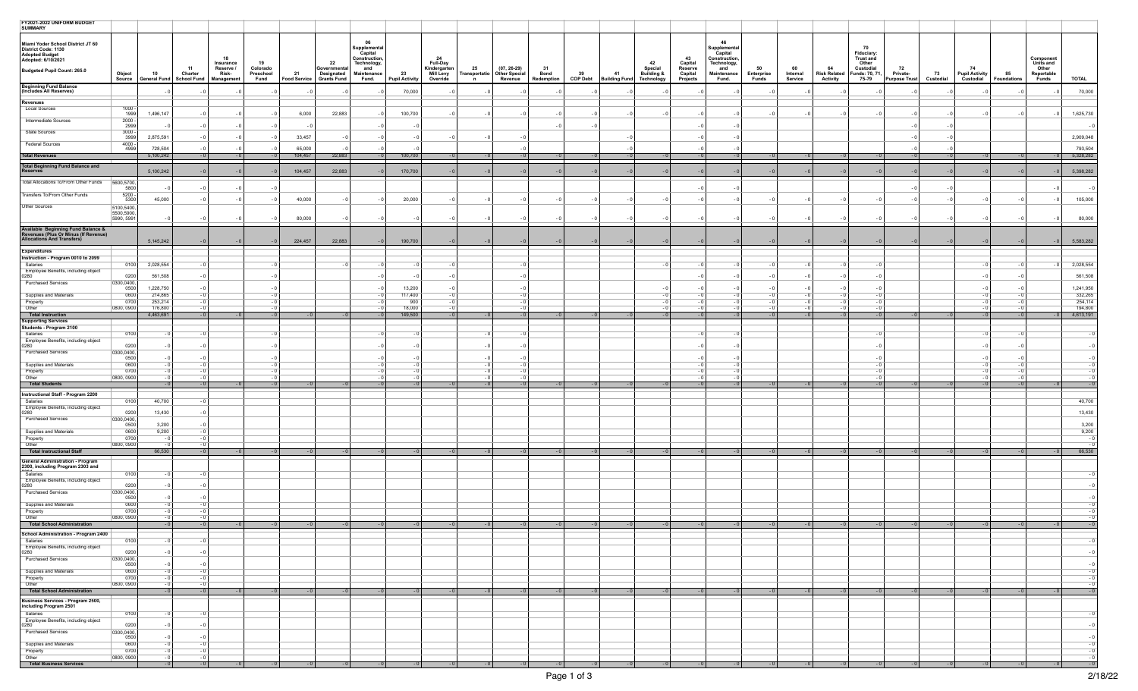| FY2021-2022 UNIFORM BUDGET<br>SUMMARY                                                                   |                          |                      |                                           |                    |                               |                                           |                           |                                                               |                      |                                       |                                                   |                          |                                 |                                                                          |      |       |                          |                                                                 |                           |                                                                            |                                        |                 |                                          |                          |                               |                      |
|---------------------------------------------------------------------------------------------------------|--------------------------|----------------------|-------------------------------------------|--------------------|-------------------------------|-------------------------------------------|---------------------------|---------------------------------------------------------------|----------------------|---------------------------------------|---------------------------------------------------|--------------------------|---------------------------------|--------------------------------------------------------------------------|------|-------|--------------------------|-----------------------------------------------------------------|---------------------------|----------------------------------------------------------------------------|----------------------------------------|-----------------|------------------------------------------|--------------------------|-------------------------------|----------------------|
| Miami Yoder School District JT 60<br>District Code: 1130<br><b>Adopted Budget</b><br>Adopted: 6/10/2021 |                          |                      |                                           | 18<br>Insurance    | 19                            |                                           | 22                        | 06<br>Supplemental<br>Capital<br>Construction,<br>Technology, |                      | -24<br><b>Full-Day</b>                |                                                   |                          |                                 |                                                                          |      | 42    | 43<br>Capital<br>Reserve | 46<br>Supplemental<br>Capital<br>Construction,<br>Technology,   |                           | 70<br>Fiduciary:<br><b>Trust and</b><br>Other                              |                                        |                 |                                          |                          | <b>Component</b><br>Units and |                      |
| Budgeted Pupil Count: 265.0                                                                             | Object<br>Source         | 10<br>General Fund   | 11<br>Charter<br>School Fund   Management | Reserve /<br>Risk- | Colorado<br>Preschool<br>Fund | 21 Designated<br>Food Service Grants Fund | Governmenta<br>Designated | and<br>Maintenance<br>Fund.                                   | 23<br>Pupil Activity | Kindergarten<br>Mill Levy<br>Override | 25<br>Transportatio Other Special<br>$\mathsf{n}$ | $(07, 26-29)$<br>Revenue | 31<br><b>Bond</b><br>Redemption | and the Special<br>39 41 Building &<br>COP Debt Building Fund Technology |      |       | Capital<br>Projects      | 50<br>and<br>Maintenance<br>Enterprise<br>Fund.<br><b>Funds</b> | 60<br>Internal<br>Service | 64<br>Custodial<br>Risk Related Funds: 70, 71,<br><b>Activity</b><br>75-79 | 72<br>Private-<br><b>Purpose Trust</b> | 73<br>Custodial | 74<br><b>Pupil Activity</b><br>Custodial | 85<br><b>Foundations</b> | Other<br>Reportable<br>Funds  | <b>TOTAL</b>         |
| Beginning Fund Balance<br>(Includes All Reserves)                                                       |                          |                      |                                           |                    |                               |                                           |                           |                                                               | 70,000               |                                       |                                                   |                          |                                 | - 0                                                                      |      | $-0$  | - 0                      |                                                                 |                           |                                                                            |                                        |                 |                                          |                          |                               | 70,000               |
| Revenues                                                                                                |                          |                      |                                           |                    |                               |                                           |                           |                                                               |                      |                                       |                                                   |                          |                                 |                                                                          |      |       |                          |                                                                 |                           |                                                                            |                                        |                 |                                          |                          |                               |                      |
| <b>Local Sources</b>                                                                                    | $1000 -$<br>1999         | 1,496,147            | - 0                                       | $-0$               | - 0                           | 6,000                                     | 22,883                    | - 0                                                           | 100,700              | - 0                                   | - 0                                               | $-0$                     | $-0$                            | $-0$                                                                     | $-0$ | $-0$  | - 0                      | $-0$                                                            | - 0<br>- 0                | $-0$<br>- 0                                                                |                                        | - 0             | - 0                                      | - 0                      | - 0                           | 1,625,730            |
| Intermediate Sources                                                                                    | $2000 -$<br>2999         |                      |                                           |                    |                               |                                           |                           |                                                               |                      |                                       |                                                   |                          | $-0$                            | - 0                                                                      |      |       |                          |                                                                 |                           |                                                                            |                                        |                 |                                          |                          |                               |                      |
| State Sources                                                                                           | $3000 -$<br>3999         | 2,875,591            | - 0                                       | - 0                |                               | 33,457                                    | - 0                       |                                                               | - 0                  |                                       |                                                   | - 0                      |                                 |                                                                          |      |       |                          |                                                                 |                           |                                                                            |                                        |                 |                                          |                          |                               | 2,909,048            |
| <b>Federal Sources</b>                                                                                  | 4000                     |                      |                                           |                    |                               |                                           |                           |                                                               |                      |                                       |                                                   |                          |                                 |                                                                          |      |       |                          |                                                                 |                           |                                                                            |                                        |                 |                                          |                          |                               |                      |
| <b>Total Revenues</b>                                                                                   | 4999                     | 728,504<br>5,100,242 | $-0$                                      | - 0<br>$-0$        | $-0$                          | 65,000<br>104,457                         | 22,883                    | $-0$                                                          | 100,700              |                                       |                                                   | - 0<br>$-0$              | $-0$                            | $-0$                                                                     |      |       | $-0$                     | $-0$                                                            |                           | $-0$                                                                       | $-0$<br>$-0$                           |                 |                                          | $-0$                     | $-0$                          | 793,504<br>5,328,282 |
| Total Beginning Fund Balance and<br>Reserves                                                            |                          |                      | $-0$                                      |                    |                               |                                           |                           |                                                               |                      |                                       |                                                   |                          |                                 |                                                                          |      |       |                          |                                                                 |                           |                                                                            |                                        |                 |                                          |                          |                               |                      |
| Total Allocations To/From Other Funds 5600,5700,                                                        |                          | 5,100,242            |                                           | - 0                |                               | 104,457                                   | 22,883                    |                                                               | 170,700              |                                       |                                                   | $-0$                     | $-0$                            | $-0$                                                                     |      | $-0$  |                          | $-0$                                                            |                           |                                                                            |                                        |                 |                                          |                          |                               | 5,398,282            |
|                                                                                                         | 5800                     |                      | - 0                                       |                    |                               |                                           |                           |                                                               |                      |                                       |                                                   |                          |                                 |                                                                          |      |       | - 0                      | $-0$                                                            |                           |                                                                            | - 0                                    |                 |                                          |                          |                               | - 0                  |
| Transfers To/From Other Funds                                                                           | 5200<br>5300             | 45,000               |                                           | - 0                | - 0                           | 40,000                                    | $-0$                      | $-0$                                                          | 20,000               | - 0                                   | - 0                                               | $-0$                     | $-0$                            | $-0$                                                                     | $-0$ | $-0$  | $-0$                     | $-0$                                                            |                           | - 0                                                                        |                                        |                 | - 0                                      |                          | $-0$                          | 105,000              |
| Other Sources                                                                                           | 5100,5400,<br>5500,5900, |                      |                                           |                    |                               |                                           |                           |                                                               |                      |                                       |                                                   |                          |                                 |                                                                          |      |       |                          |                                                                 |                           |                                                                            |                                        |                 |                                          |                          |                               |                      |
|                                                                                                         | 5990, 5991               |                      |                                           |                    |                               | 80,000                                    |                           |                                                               |                      |                                       |                                                   | - 0                      |                                 | - 0                                                                      |      | $-0$  | - 0                      | - 0                                                             |                           |                                                                            |                                        |                 |                                          |                          |                               | 80,000               |
| Available  Beginning Fund Balance &<br>Revenues (Plus Or Minus (If Revenue)                             |                          |                      |                                           |                    |                               |                                           |                           |                                                               |                      |                                       |                                                   |                          |                                 |                                                                          |      |       |                          |                                                                 |                           |                                                                            |                                        |                 |                                          |                          |                               |                      |
| <b>Allocations And Transfers)</b>                                                                       |                          | 5,145,242            | $-0$                                      | $-0$               | $-0$                          | 224,457                                   | 22,883                    | $-0$                                                          | 190,700              | $-0$                                  |                                                   | $-0$                     | $-0$                            | $-0$                                                                     |      | $-0$  |                          | $-0$                                                            | $-0$                      | $-0$                                                                       |                                        |                 |                                          |                          | $-0$                          | 5,583,282            |
| <b>Expenditures</b><br>Instruction - Program 0010 to 2099                                               |                          |                      |                                           |                    |                               |                                           |                           |                                                               |                      |                                       |                                                   |                          |                                 |                                                                          |      |       |                          |                                                                 |                           |                                                                            |                                        |                 |                                          |                          |                               |                      |
| Salaries<br>Employee Benefits, including object                                                         | 0100                     | 2,028,554            |                                           |                    |                               |                                           |                           |                                                               |                      |                                       |                                                   |                          |                                 |                                                                          |      |       |                          |                                                                 |                           |                                                                            |                                        |                 |                                          |                          |                               | 2,028,554            |
| 0280                                                                                                    | 0200                     | 561,508              |                                           |                    |                               |                                           |                           |                                                               |                      |                                       |                                                   |                          |                                 |                                                                          |      |       |                          | - 0                                                             |                           |                                                                            |                                        |                 |                                          |                          |                               | 561,508              |
| <b>Purchased Services</b>                                                                               | 0300,0400,<br>0500       | 1,228,750            |                                           |                    |                               |                                           |                           |                                                               | 13,200               |                                       |                                                   |                          |                                 |                                                                          |      |       |                          |                                                                 |                           |                                                                            |                                        |                 |                                          |                          |                               | 1,241,950            |
| Supplies and Materials<br>Property                                                                      | 0600<br>0700             | 214,865<br>253,214   |                                           |                    |                               |                                           |                           |                                                               | 117,400<br>900       |                                       |                                                   |                          |                                 |                                                                          |      | - 0   |                          |                                                                 |                           |                                                                            |                                        |                 |                                          |                          |                               | 332,265<br>254,114   |
| Other                                                                                                   | 0800, 0900               | 176,800<br>4,463,691 | - 0                                       |                    |                               |                                           |                           |                                                               | 18,000               |                                       |                                                   |                          |                                 |                                                                          |      |       |                          |                                                                 |                           |                                                                            |                                        |                 |                                          |                          |                               | 194,800              |
| <b>Total Instruction</b><br><b>Supporting Services</b>                                                  |                          |                      | $-0$                                      | $-0$               | $-0$                          |                                           |                           | $-0$                                                          | 149,500              | $-0$                                  |                                                   | $-0$                     | $-0$                            | $-0$                                                                     |      | $-0$  | $-0$                     | $-0$                                                            | $-0$<br>- 0               | $-0$                                                                       | $-0$                                   |                 | $-0$                                     | $-0$                     | $-0$                          | 4,613,191            |
| Students - Program 2100<br>Salaries                                                                     | 0100                     |                      |                                           |                    |                               |                                           |                           |                                                               |                      |                                       |                                                   |                          |                                 |                                                                          |      |       |                          |                                                                 |                           |                                                                            |                                        |                 |                                          |                          |                               |                      |
| Employee Benefits, including object<br>0280                                                             | 0200                     |                      |                                           |                    |                               |                                           |                           |                                                               | $-0$                 |                                       |                                                   | $-0$                     |                                 |                                                                          |      |       |                          |                                                                 |                           |                                                                            |                                        |                 |                                          |                          |                               |                      |
| <b>Purchased Services</b>                                                                               | 0300,0400,<br>0500       |                      |                                           |                    |                               |                                           |                           |                                                               |                      |                                       |                                                   |                          |                                 |                                                                          |      |       |                          |                                                                 |                           |                                                                            |                                        |                 |                                          |                          |                               |                      |
| Supplies and Materials                                                                                  | 0600                     |                      |                                           |                    |                               |                                           |                           |                                                               |                      |                                       |                                                   |                          |                                 |                                                                          |      |       |                          |                                                                 |                           |                                                                            |                                        |                 |                                          |                          |                               |                      |
| Property<br>Other                                                                                       | 0700<br>0800, 0900       |                      |                                           |                    |                               |                                           |                           |                                                               |                      |                                       |                                                   | - 0                      |                                 |                                                                          |      |       |                          |                                                                 |                           |                                                                            |                                        |                 |                                          |                          |                               |                      |
| <b>Total Students</b>                                                                                   |                          | $-0$                 | $-0$                                      | $-0$               | $-0$                          |                                           |                           |                                                               | $-0$                 |                                       |                                                   | $-0$                     | $-0$                            | $-0$                                                                     |      |       | $-0$                     | $-0$                                                            |                           | $-0$                                                                       | $-0$                                   |                 |                                          |                          |                               |                      |
| Instructional Staff - Program 2200<br>Salaries                                                          | 0100                     | 40,700               |                                           |                    |                               |                                           |                           |                                                               |                      |                                       |                                                   |                          |                                 |                                                                          |      |       |                          |                                                                 |                           |                                                                            |                                        |                 |                                          |                          |                               | 40,700               |
| Employee Benefits, including object<br>0280                                                             | 0200                     | 13,430               | - 0                                       |                    |                               |                                           |                           |                                                               |                      |                                       |                                                   |                          |                                 |                                                                          |      |       |                          |                                                                 |                           |                                                                            |                                        |                 |                                          |                          |                               | 13,430               |
| Purchased Services                                                                                      | 0300,0400,               | 3,200                |                                           |                    |                               |                                           |                           |                                                               |                      |                                       |                                                   |                          |                                 |                                                                          |      |       |                          |                                                                 |                           |                                                                            |                                        |                 |                                          |                          |                               |                      |
| Supplies and Materials                                                                                  | 0500<br>0600             | 9,200                |                                           |                    |                               |                                           |                           |                                                               |                      |                                       |                                                   |                          |                                 |                                                                          |      |       |                          |                                                                 |                           |                                                                            |                                        |                 |                                          |                          |                               | 3,200<br>9,200       |
| Property<br>Other                                                                                       | 0700<br>0800, 0900       | - 0                  |                                           |                    |                               |                                           |                           |                                                               |                      |                                       |                                                   |                          |                                 |                                                                          |      |       |                          |                                                                 |                           |                                                                            |                                        |                 |                                          |                          |                               |                      |
| <b>Total Instructional Staff</b>                                                                        |                          | 66,530               | $-0$                                      | $-0$               | $-0$                          | $-0$                                      | $-0$                      | $-0$                                                          | $-0$                 | $-0$                                  | $-0$                                              | $-0$                     | $-0$                            | $-0$                                                                     | $-0$ | $-0$  | $-0$                     | $-0$                                                            | $-0$<br>$-0$              | $-0$                                                                       | $-0$<br>$-0$                           | $-0$            | $-0$                                     | $-0$                     | $-0$                          | 66,530               |
| <b>General Administration - Program</b><br>2300, including Program 2303 and                             |                          |                      |                                           |                    |                               |                                           |                           |                                                               |                      |                                       |                                                   |                          |                                 |                                                                          |      |       |                          |                                                                 |                           |                                                                            |                                        |                 |                                          |                          |                               |                      |
| Salaries                                                                                                | 0100                     |                      |                                           |                    |                               |                                           |                           |                                                               |                      |                                       |                                                   |                          |                                 |                                                                          |      |       |                          |                                                                 |                           |                                                                            |                                        |                 |                                          |                          |                               |                      |
| Employee Benefits, including object<br>0280                                                             | 0200                     |                      |                                           |                    |                               |                                           |                           |                                                               |                      |                                       |                                                   |                          |                                 |                                                                          |      |       |                          |                                                                 |                           |                                                                            |                                        |                 |                                          |                          |                               |                      |
| Purchased Services                                                                                      | 0300,0400<br>0500        |                      |                                           |                    |                               |                                           |                           |                                                               |                      |                                       |                                                   |                          |                                 |                                                                          |      |       |                          |                                                                 |                           |                                                                            |                                        |                 |                                          |                          |                               |                      |
| Supplies and Materials<br>Property                                                                      | 0600<br>0700             |                      |                                           |                    |                               |                                           |                           |                                                               |                      |                                       |                                                   |                          |                                 |                                                                          |      |       |                          |                                                                 |                           |                                                                            |                                        |                 |                                          |                          |                               |                      |
| Other<br><b>Total School Administration</b>                                                             | 0800, 0900               |                      | $-0$                                      | $-0$               | $-0$                          |                                           |                           |                                                               | - 0 1                |                                       |                                                   | $-0$                     | $-0$                            | $-0$                                                                     |      | - 0 1 | $-0$                     | - 0                                                             |                           | $-0$                                                                       | $-0$                                   |                 | $-0$                                     | - 0 1                    |                               |                      |
| School Administration - Program 2400                                                                    |                          |                      |                                           |                    |                               |                                           |                           |                                                               |                      |                                       |                                                   |                          |                                 |                                                                          |      |       |                          |                                                                 |                           |                                                                            |                                        |                 |                                          |                          |                               |                      |
| Salaries<br>Employee Benefits, including object                                                         | 0100                     |                      |                                           |                    |                               |                                           |                           |                                                               |                      |                                       |                                                   |                          |                                 |                                                                          |      |       |                          |                                                                 |                           |                                                                            |                                        |                 |                                          |                          |                               |                      |
| $0280^{\degree}$                                                                                        | 0200                     |                      |                                           |                    |                               |                                           |                           |                                                               |                      |                                       |                                                   |                          |                                 |                                                                          |      |       |                          |                                                                 |                           |                                                                            |                                        |                 |                                          |                          |                               |                      |
| Purchased Services                                                                                      | 0300,0400,<br>0500       |                      |                                           |                    |                               |                                           |                           |                                                               |                      |                                       |                                                   |                          |                                 |                                                                          |      |       |                          |                                                                 |                           |                                                                            |                                        |                 |                                          |                          |                               |                      |
| Supplies and Materials<br>Property                                                                      | 0600<br>0700             |                      |                                           |                    |                               |                                           |                           |                                                               |                      |                                       |                                                   |                          |                                 |                                                                          |      |       |                          |                                                                 |                           |                                                                            |                                        |                 |                                          |                          |                               |                      |
| Other<br><b>Total School Administration</b>                                                             | 0800, 0900               |                      | - 0<br>$-0$                               | $-0$               | $-0$                          |                                           |                           |                                                               | $-0$                 |                                       |                                                   | $-0$                     | $-0$                            | $-0$                                                                     |      |       | $-0$                     | $-0$                                                            |                           | $-0$                                                                       |                                        |                 |                                          |                          |                               |                      |
| Business Services - Program 2500,                                                                       |                          |                      |                                           |                    |                               |                                           |                           |                                                               |                      |                                       |                                                   |                          |                                 |                                                                          |      |       |                          |                                                                 |                           |                                                                            |                                        |                 |                                          |                          |                               |                      |
| including Program 2501<br>Salaries                                                                      | 0100                     |                      |                                           |                    |                               |                                           |                           |                                                               |                      |                                       |                                                   |                          |                                 |                                                                          |      |       |                          |                                                                 |                           |                                                                            |                                        |                 |                                          |                          |                               |                      |
| Employee Benefits, including object<br>0280                                                             | 0200                     |                      |                                           |                    |                               |                                           |                           |                                                               |                      |                                       |                                                   |                          |                                 |                                                                          |      |       |                          |                                                                 |                           |                                                                            |                                        |                 |                                          |                          |                               |                      |
| <b>Purchased Services</b>                                                                               | 0300,0400,               |                      | - 0                                       |                    |                               |                                           |                           |                                                               |                      |                                       |                                                   |                          |                                 |                                                                          |      |       |                          |                                                                 |                           |                                                                            |                                        |                 |                                          |                          |                               |                      |
| Supplies and Materials                                                                                  | 0500<br>0600             | - 0                  | - 0                                       |                    |                               |                                           |                           |                                                               |                      |                                       |                                                   |                          |                                 |                                                                          |      |       |                          |                                                                 |                           |                                                                            |                                        |                 |                                          |                          |                               |                      |
| Property<br>Other                                                                                       | 0700<br>0800, 0900       | $-0$                 | - 0<br>$-0$                               |                    |                               |                                           |                           |                                                               |                      |                                       |                                                   |                          |                                 |                                                                          |      |       |                          |                                                                 |                           |                                                                            |                                        |                 |                                          |                          |                               |                      |
| <b>Total Business Services</b>                                                                          |                          | $-0$                 | $-0$                                      | $-0$               | $-0$                          | $-0$                                      | $-0$                      | $-0$                                                          | $-0$                 | $-0$                                  | $-0$                                              | $-0$                     | $-0$                            | $-0$                                                                     | $-0$ | $-0$  | $-0$                     | $-0$                                                            | $-0$<br>$-0$              | $-0$                                                                       | $-0$<br>$-0$                           | $-0$            | $-0$                                     | $-0$                     |                               |                      |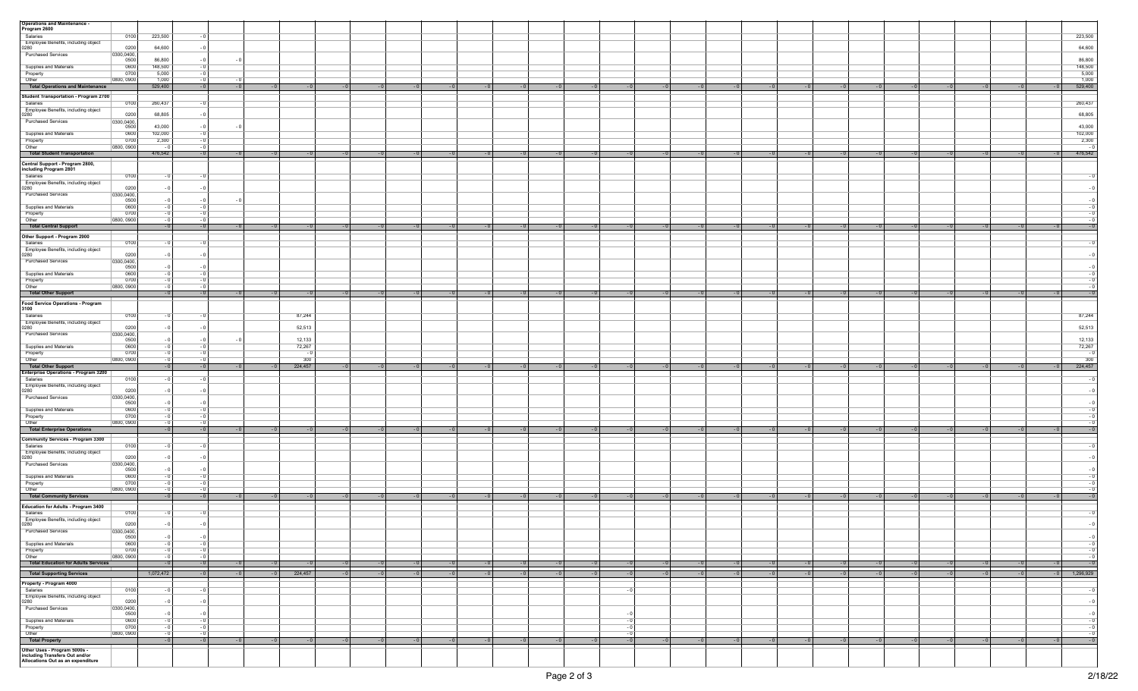| <b>Operations and Maintenance -</b>                                 |            |           |      |              |         |      |              |      |              |      |      |              |      |                   |      |                    |      |      |              |                        |
|---------------------------------------------------------------------|------------|-----------|------|--------------|---------|------|--------------|------|--------------|------|------|--------------|------|-------------------|------|--------------------|------|------|--------------|------------------------|
| Program 2600                                                        |            |           |      |              |         |      |              |      |              |      |      |              |      |                   |      |                    |      |      |              |                        |
| Salaries                                                            | 0100       | 223,500   |      |              |         |      |              |      |              |      |      |              |      |                   |      |                    |      |      |              | 223,500                |
| Employee Benefits, including object                                 |            |           |      |              |         |      |              |      |              |      |      |              |      |                   |      |                    |      |      |              |                        |
| 0280                                                                | 0200       | 64,600    | - 0  |              |         |      |              |      |              |      |      |              |      |                   |      |                    |      |      |              | 64,600                 |
| Purchased Services                                                  | 0300,0400, |           |      |              |         |      |              |      |              |      |      |              |      |                   |      |                    |      |      |              |                        |
|                                                                     | 0500       | 86,800    |      | - 0          |         |      |              |      |              |      |      |              |      |                   |      |                    |      |      |              | 86,800                 |
| Supplies and Materials                                              | 0600       | 148,500   |      |              |         |      |              |      |              |      |      |              |      |                   |      |                    |      |      |              | 148,500                |
| Property                                                            | 0700       | 5,000     |      |              |         |      |              |      |              |      |      |              |      |                   |      |                    |      |      |              | 5,000                  |
| Other                                                               | 0800, 0900 | 1,000     | - 0  | - 0          |         |      |              |      |              |      |      |              |      |                   |      |                    |      |      |              | 1,000                  |
|                                                                     |            |           |      |              |         |      |              |      |              |      |      |              |      |                   |      |                    |      |      |              |                        |
| <b>Total Operations and Maintenance</b>                             |            | 529,400   | $-0$ | $-0$<br>$-0$ |         |      |              |      |              |      |      |              |      |                   |      | $-0$<br>$-0$       |      |      |              | 529,400<br>$-0$        |
| Student Transportation - Program 2700                               |            |           |      |              |         |      |              |      |              |      |      |              |      |                   |      |                    |      |      |              |                        |
|                                                                     |            |           |      |              |         |      |              |      |              |      |      |              |      |                   |      |                    |      |      |              |                        |
| Salaries                                                            | 0100       | 260,437   |      |              |         |      |              |      |              |      |      |              |      |                   |      |                    |      |      |              | 260,437                |
| Employee Benefits, including object                                 |            |           |      |              |         |      |              |      |              |      |      |              |      |                   |      |                    |      |      |              |                        |
| 0280                                                                | 0200       | 68,805    |      |              |         |      |              |      |              |      |      |              |      |                   |      |                    |      |      |              | 68,805                 |
| <b>Purchased Services</b>                                           | 0300,0400, |           |      |              |         |      |              |      |              |      |      |              |      |                   |      |                    |      |      |              |                        |
|                                                                     | 0500       | 43,000    |      | - 0          |         |      |              |      |              |      |      |              |      |                   |      |                    |      |      |              | 43,000                 |
| Supplies and Materials                                              | 0600       | 102,000   |      |              |         |      |              |      |              |      |      |              |      |                   |      |                    |      |      |              | 102,000                |
| Property                                                            | 0700       | 2,300     |      |              |         |      |              |      |              |      |      |              |      |                   |      |                    |      |      |              | 2,300                  |
| Other                                                               | 0800, 0900 | - 0       | - 0  |              |         |      |              |      |              |      |      |              |      |                   |      |                    |      |      |              |                        |
|                                                                     |            |           |      |              |         |      |              |      |              |      |      |              |      |                   |      |                    |      |      |              |                        |
| <b>Total Student Transportation</b>                                 |            | 476,542   | $-0$ | $-0$<br>- 0  |         |      |              |      | $-0$         | $-0$ |      |              |      |                   |      | $-0$<br>$-0$       |      |      |              | 476,542<br>$-0$        |
|                                                                     |            |           |      |              |         |      |              |      |              |      |      |              |      |                   |      |                    |      |      |              |                        |
| Central Support - Program 2800,<br>including Program 2801           |            |           |      |              |         |      |              |      |              |      |      |              |      |                   |      |                    |      |      |              |                        |
|                                                                     |            |           |      |              |         |      |              |      |              |      |      |              |      |                   |      |                    |      |      |              |                        |
| Salaries                                                            | 0100       |           |      |              |         |      |              |      |              |      |      |              |      |                   |      |                    |      |      |              |                        |
| Employee Benefits, including object                                 |            |           |      |              |         |      |              |      |              |      |      |              |      |                   |      |                    |      |      |              |                        |
| 0280                                                                | 0200       |           |      |              |         |      |              |      |              |      |      |              |      |                   |      |                    |      |      |              |                        |
| Purchased Services                                                  | 0300,0400, |           |      |              |         |      |              |      |              |      |      |              |      |                   |      |                    |      |      |              |                        |
|                                                                     | 0500       |           |      | - 0          |         |      |              |      |              |      |      |              |      |                   |      |                    |      |      |              |                        |
| Supplies and Materials                                              | 0600       |           |      |              |         |      |              |      |              |      |      |              |      |                   |      |                    |      |      |              |                        |
| Property                                                            | 0700       |           |      |              |         |      |              |      |              |      |      |              |      |                   |      |                    |      |      |              |                        |
| Other                                                               | 0800, 0900 |           |      |              |         |      |              |      |              |      |      |              |      |                   |      |                    |      |      |              |                        |
|                                                                     |            | $-0$      | $-0$ | $-0$         |         |      |              |      |              |      |      |              |      |                   |      |                    |      |      |              | $-0$                   |
| <b>Total Central Support</b>                                        |            |           |      | $-0$         |         |      |              |      |              |      |      |              |      |                   |      | $-0$<br>$-0$       |      |      |              |                        |
| Other Support - Program 2900                                        |            |           |      |              |         |      |              |      |              |      |      |              |      |                   |      |                    |      |      |              |                        |
| Salaries                                                            | 0100       |           |      |              |         |      |              |      |              |      |      |              |      |                   |      |                    |      |      |              |                        |
|                                                                     |            |           |      |              |         |      |              |      |              |      |      |              |      |                   |      |                    |      |      |              |                        |
| Employee Benefits, including object                                 |            |           |      |              |         |      |              |      |              |      |      |              |      |                   |      |                    |      |      |              |                        |
| 0280                                                                | 0200       |           |      |              |         |      |              |      |              |      |      |              |      |                   |      |                    |      |      |              |                        |
| <b>Purchased Services</b>                                           | 0300,0400, |           |      |              |         |      |              |      |              |      |      |              |      |                   |      |                    |      |      |              |                        |
|                                                                     | 0500       |           |      |              |         |      |              |      |              |      |      |              |      |                   |      |                    |      |      |              |                        |
| Supplies and Materials                                              | 0600       |           |      |              |         |      |              |      |              |      |      |              |      |                   |      |                    |      |      |              |                        |
| Property                                                            | 0700       |           |      |              |         |      |              |      |              |      |      |              |      |                   |      |                    |      |      |              |                        |
| Other                                                               | 0800, 0900 | $-0$      | - 0  |              |         |      |              |      |              |      |      |              |      |                   |      |                    |      |      |              |                        |
|                                                                     |            |           |      |              |         |      |              |      |              |      |      |              |      |                   |      |                    |      |      |              |                        |
| Total Other Support                                                 |            | $-0$      | $-0$ | $-0$<br>$-0$ | $-0$    |      | $-0$<br>$-0$ | $-0$ | $-0$<br>$-0$ | $-0$ | $-0$ | $-0$         | $-0$ | $-0$<br>$-0$      | $-0$ | $-0$<br>$-0$       | $-0$ | $-0$ | $-0$         | $-0$<br>$-0$           |
| <b>Food Service Operations - Program</b>                            |            |           |      |              |         |      |              |      |              |      |      |              |      |                   |      |                    |      |      |              |                        |
| 3100                                                                |            |           |      |              |         |      |              |      |              |      |      |              |      |                   |      |                    |      |      |              |                        |
|                                                                     |            |           |      |              |         |      |              |      |              |      |      |              |      |                   |      |                    |      |      |              |                        |
| Salaries                                                            | 0100       |           |      |              | 87,244  |      |              |      |              |      |      |              |      |                   |      |                    |      |      |              | 87,244                 |
| Employee Benefits, including object                                 | 0200       |           |      |              |         |      |              |      |              |      |      |              |      |                   |      |                    |      |      |              |                        |
| 0280                                                                |            |           |      |              | 52,513  |      |              |      |              |      |      |              |      |                   |      |                    |      |      |              | 52,513                 |
| <b>Purchased Services</b>                                           | 0300,0400, |           |      |              |         |      |              |      |              |      |      |              |      |                   |      |                    |      |      |              |                        |
|                                                                     | 0500       |           |      | - 0          | 12,133  |      |              |      |              |      |      |              |      |                   |      |                    |      |      |              | 12,133                 |
| Supplies and Materials                                              | 0600       |           |      |              | 72,267  |      |              |      |              |      |      |              |      |                   |      |                    |      |      |              |                        |
|                                                                     |            |           |      |              |         |      |              |      |              |      |      |              |      |                   |      |                    |      |      |              |                        |
|                                                                     |            |           |      |              |         |      |              |      |              |      |      |              |      |                   |      |                    |      |      |              | 72,267                 |
| Property                                                            | 0700       |           |      |              |         |      |              |      |              |      |      |              |      |                   |      |                    |      |      |              |                        |
| Other                                                               | 0800, 0900 |           | - 0  |              | 300     |      |              |      |              |      |      |              |      |                   |      |                    |      |      |              | 300                    |
| <b>Total Other Support</b>                                          |            |           | $-0$ | $-0$         | 224,457 |      | $-0$<br>- 0  | - 0  | $-0$         | $-0$ | $-0$ |              |      | $-0$              |      | $-0$<br>$-0$       |      |      | - 0          | 224,457<br>$-0$        |
| <b>Enterprise Operations - Program 3200</b>                         |            |           |      |              |         |      |              |      |              |      |      |              |      |                   |      |                    |      |      |              |                        |
| Salaries                                                            | 0100       |           |      |              |         |      |              |      |              |      |      |              |      |                   |      |                    |      |      |              |                        |
|                                                                     |            |           |      |              |         |      |              |      |              |      |      |              |      |                   |      |                    |      |      |              |                        |
| Employee Benefits, including object                                 | 0200       |           |      |              |         |      |              |      |              |      |      |              |      |                   |      |                    |      |      |              |                        |
| 0280                                                                |            |           |      |              |         |      |              |      |              |      |      |              |      |                   |      |                    |      |      |              |                        |
| Purchased Services                                                  | 0300,0400, |           |      |              |         |      |              |      |              |      |      |              |      |                   |      |                    |      |      |              |                        |
|                                                                     | 0500       |           |      |              |         |      |              |      |              |      |      |              |      |                   |      |                    |      |      |              |                        |
| Supplies and Materials                                              | 0600       |           |      |              |         |      |              |      |              |      |      |              |      |                   |      |                    |      |      |              |                        |
| Property                                                            | 0700       |           |      |              |         |      |              |      |              |      |      |              |      |                   |      |                    |      |      |              |                        |
| Other                                                               | 0800, 0900 |           |      |              |         |      |              |      |              |      |      |              |      |                   |      |                    |      |      |              |                        |
| <b>Total Enterprise Operations</b>                                  |            | $-0$      | $-0$ | $-0$<br>$-0$ |         |      |              |      |              |      |      |              |      |                   | $-0$ | $-0$<br>$-0$       |      |      |              | $-0$                   |
|                                                                     |            |           |      |              |         |      |              |      |              |      |      |              |      |                   |      |                    |      |      |              |                        |
| <b>Community Services - Program 3300</b>                            |            |           |      |              |         |      |              |      |              |      |      |              |      |                   |      |                    |      |      |              |                        |
| Salaries                                                            | 0100       |           |      |              |         |      |              |      |              |      |      |              |      |                   |      |                    |      |      |              |                        |
| Employee Benefits, including object                                 |            |           |      |              |         |      |              |      |              |      |      |              |      |                   |      |                    |      |      |              |                        |
| 0280                                                                | 0200       |           |      |              |         |      |              |      |              |      |      |              |      |                   |      |                    |      |      |              |                        |
| Purchased Services                                                  | 0300,0400, |           |      |              |         |      |              |      |              |      |      |              |      |                   |      |                    |      |      |              |                        |
|                                                                     | 0500       |           |      |              |         |      |              |      |              |      |      |              |      |                   |      |                    |      |      |              |                        |
|                                                                     | 0600       |           |      |              |         |      |              |      |              |      |      |              |      |                   |      |                    |      |      |              |                        |
| Supplies and Materials                                              |            |           |      |              |         |      |              |      |              |      |      |              |      |                   |      |                    |      |      |              |                        |
| Property                                                            | 0700       |           |      |              |         |      |              |      |              |      |      |              |      |                   |      |                    |      |      |              |                        |
| Other                                                               | 0800, 0900 |           |      |              |         |      |              |      |              |      |      |              |      |                   |      |                    |      |      |              |                        |
| <b>Total Community Services</b>                                     |            | $-0$      | $-0$ | $-0$<br>$-0$ |         |      | $-0$<br>$-0$ |      | $-0$         | $-0$ | $-0$ |              | $-0$ | $-0$<br>$-0$      | $-0$ | $-0$<br>$-0$       |      |      | $-0$         | $-0$<br>$-0$           |
|                                                                     |            |           |      |              |         |      |              |      |              |      |      |              |      |                   |      |                    |      |      |              |                        |
| Education for Adults - Program 3400                                 |            |           |      |              |         |      |              |      |              |      |      |              |      |                   |      |                    |      |      |              |                        |
| Salaries                                                            | 0100       |           |      |              |         |      |              |      |              |      |      |              |      |                   |      |                    |      |      |              |                        |
| Employee Benefits, including object                                 |            |           |      |              |         |      |              |      |              |      |      |              |      |                   |      |                    |      |      |              |                        |
| 0280                                                                | 0200       |           |      |              |         |      |              |      |              |      |      |              |      |                   |      |                    |      |      |              |                        |
| Purchased Services                                                  | 0300,0400, |           |      |              |         |      |              |      |              |      |      |              |      |                   |      |                    |      |      |              |                        |
|                                                                     | 0500       | - 0       | - 0  |              |         |      |              |      |              |      |      |              |      |                   |      |                    |      |      |              | $-0$                   |
| Supplies and Materials                                              | 0600       |           |      |              |         |      |              |      |              |      |      |              |      |                   |      |                    |      |      |              | - 0                    |
|                                                                     |            |           |      |              |         |      |              |      |              |      |      |              |      |                   |      |                    |      |      |              | - 0                    |
| Property                                                            | 0700       | - 0       | - 0  |              |         |      |              |      |              |      |      |              |      |                   |      |                    |      |      |              | - 0                    |
| Other                                                               | 0800, 0900 |           |      |              |         |      |              |      |              |      |      |              |      |                   |      |                    |      |      |              |                        |
| Total Education for Adults Services                                 |            | $-0$      | $-0$ | $-0$<br>$-0$ | $-0$    | $-0$ | $-0$<br>$-0$ | $-0$ | $-0$<br>$-0$ | $-0$ | $-0$ | $-0$         | $-0$ | $-0$<br>$-0$      | $-0$ | $-0$<br>$-0$       |      | $-0$ | $-0$         | $-0$                   |
|                                                                     |            |           |      |              |         |      |              |      |              |      |      |              |      |                   |      |                    |      |      |              |                        |
|                                                                     |            | 1,072,472 | $-0$ | $-0$<br>$-0$ | 224,457 | $-0$ | $-0$<br>$-0$ | $-0$ | $-0$<br>$-0$ | $-0$ | $-0$ | $-0$<br>$-0$ | $-0$ | $-0$<br>$-0$      | $-0$ | $-0$<br>$-0$       |      |      | $-0$         | $-0$ 1,296,929<br>$-0$ |
| <b>Total Supporting Services</b>                                    |            |           |      |              |         |      |              |      |              |      |      |              |      |                   |      |                    |      |      |              |                        |
| Property - Program 4000                                             |            | - 0       |      |              |         |      |              |      |              |      |      |              |      |                   |      |                    |      |      |              |                        |
| Salaries                                                            | 0100       |           | - 0  |              |         |      |              |      |              |      |      |              |      |                   |      |                    |      |      |              |                        |
| Employee Benefits, including object                                 |            |           |      |              |         |      |              |      |              |      |      |              |      |                   |      |                    |      |      |              |                        |
| 0280                                                                | 0200       | - 0       | - 0  |              |         |      |              |      |              |      |      |              |      |                   |      |                    |      |      |              | $-$ C                  |
| Purchased Services                                                  | 0300,0400, |           |      |              |         |      |              |      |              |      |      |              |      |                   |      |                    |      |      |              |                        |
|                                                                     | 0500       | - 0       | - 0  |              |         |      |              |      |              |      |      | - 0          |      |                   |      |                    |      |      |              | - 0                    |
| Supplies and Materials                                              | 0600       |           | - 0  |              |         |      |              |      |              |      |      |              |      |                   |      |                    |      |      |              |                        |
| Property                                                            | 0700       |           |      |              |         |      |              |      |              |      |      |              |      |                   |      |                    |      |      |              |                        |
| Other                                                               | 0800, 0900 | $-0$      | $-0$ |              |         |      |              |      |              |      |      | $-0$         |      |                   |      |                    |      |      |              |                        |
|                                                                     |            |           |      |              |         |      |              |      |              |      |      |              |      |                   |      |                    |      |      |              |                        |
| <b>Total Property</b>                                               |            | $-0$      | $-0$ | $-0$<br>$-0$ | $-0$    | $-0$ | $-0$<br>$-0$ | $-0$ | $-0$<br>$-0$ | $-0$ | $-0$ | $-0$<br>$-0$ | $-0$ | $\sim$ -0<br>$-0$ | $-0$ | $\sim$ - 0<br>$-0$ | $-0$ | $-0$ | $-0$<br>$-0$ | $-0$                   |
| Other Uses - Program 5000s -                                        |            |           |      |              |         |      |              |      |              |      |      |              |      |                   |      |                    |      |      |              |                        |
| including Transfers Out and/or<br>Allocations Out as an expenditure |            |           |      |              |         |      |              |      |              |      |      |              |      |                   |      |                    |      |      |              |                        |